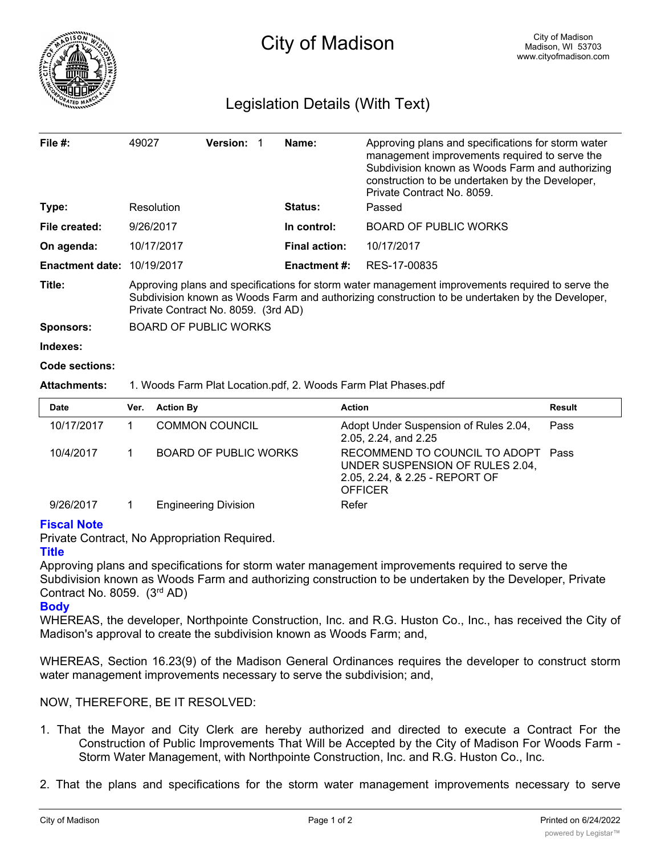

## Legislation Details (With Text)

| File $#$ :                        | 49027                                                                                                                                                                                                                                      | <b>Version:</b> | Name:                | Approving plans and specifications for storm water<br>management improvements required to serve the<br>Subdivision known as Woods Farm and authorizing<br>construction to be undertaken by the Developer,<br>Private Contract No. 8059. |  |  |
|-----------------------------------|--------------------------------------------------------------------------------------------------------------------------------------------------------------------------------------------------------------------------------------------|-----------------|----------------------|-----------------------------------------------------------------------------------------------------------------------------------------------------------------------------------------------------------------------------------------|--|--|
| Type:                             | Resolution                                                                                                                                                                                                                                 |                 | <b>Status:</b>       | Passed                                                                                                                                                                                                                                  |  |  |
| File created:                     | 9/26/2017                                                                                                                                                                                                                                  |                 | In control:          | <b>BOARD OF PUBLIC WORKS</b>                                                                                                                                                                                                            |  |  |
| On agenda:                        | 10/17/2017                                                                                                                                                                                                                                 |                 | <b>Final action:</b> | 10/17/2017                                                                                                                                                                                                                              |  |  |
| <b>Enactment date: 10/19/2017</b> |                                                                                                                                                                                                                                            |                 | Enactment #:         | RES-17-00835                                                                                                                                                                                                                            |  |  |
| Title:                            | Approving plans and specifications for storm water management improvements required to serve the<br>Subdivision known as Woods Farm and authorizing construction to be undertaken by the Developer,<br>Private Contract No. 8059. (3rd AD) |                 |                      |                                                                                                                                                                                                                                         |  |  |
| <b>Sponsors:</b>                  | <b>BOARD OF PUBLIC WORKS</b>                                                                                                                                                                                                               |                 |                      |                                                                                                                                                                                                                                         |  |  |
| Indexes:                          |                                                                                                                                                                                                                                            |                 |                      |                                                                                                                                                                                                                                         |  |  |
| Code sections:                    |                                                                                                                                                                                                                                            |                 |                      |                                                                                                                                                                                                                                         |  |  |
| <b>Attachments:</b>               | 1. Woods Farm Plat Location.pdf, 2. Woods Farm Plat Phases.pdf                                                                                                                                                                             |                 |                      |                                                                                                                                                                                                                                         |  |  |
| <b>Date</b>                       | <b>Action By</b><br>Ver.                                                                                                                                                                                                                   |                 |                      | <b>Action</b><br><b>Result</b>                                                                                                                                                                                                          |  |  |

| Date       | ver. | <b>Action By</b>             | Action                                                                                                                    | Result |
|------------|------|------------------------------|---------------------------------------------------------------------------------------------------------------------------|--------|
| 10/17/2017 |      | <b>COMMON COUNCIL</b>        | Adopt Under Suspension of Rules 2.04,<br>2.05, 2.24, and 2.25                                                             | Pass   |
| 10/4/2017  |      | <b>BOARD OF PUBLIC WORKS</b> | RECOMMEND TO COUNCIL TO ADOPT Pass<br>UNDER SUSPENSION OF RULES 2.04,<br>2.05, 2.24, & 2.25 - REPORT OF<br><b>OFFICER</b> |        |
| 9/26/2017  |      | <b>Engineering Division</b>  | Refer                                                                                                                     |        |

## **Fiscal Note**

Private Contract, No Appropriation Required.

## **Title**

Approving plans and specifications for storm water management improvements required to serve the Subdivision known as Woods Farm and authorizing construction to be undertaken by the Developer, Private Contract No. 8059. (3rd AD)

## **Body**

WHEREAS, the developer, Northpointe Construction, Inc. and R.G. Huston Co., Inc., has received the City of Madison's approval to create the subdivision known as Woods Farm; and,

WHEREAS, Section 16.23(9) of the Madison General Ordinances requires the developer to construct storm water management improvements necessary to serve the subdivision; and,

NOW, THEREFORE, BE IT RESOLVED:

- 1. That the Mayor and City Clerk are hereby authorized and directed to execute a Contract For the Construction of Public Improvements That Will be Accepted by the City of Madison For Woods Farm - Storm Water Management, with Northpointe Construction, Inc. and R.G. Huston Co., Inc.
- 2. That the plans and specifications for the storm water management improvements necessary to serve